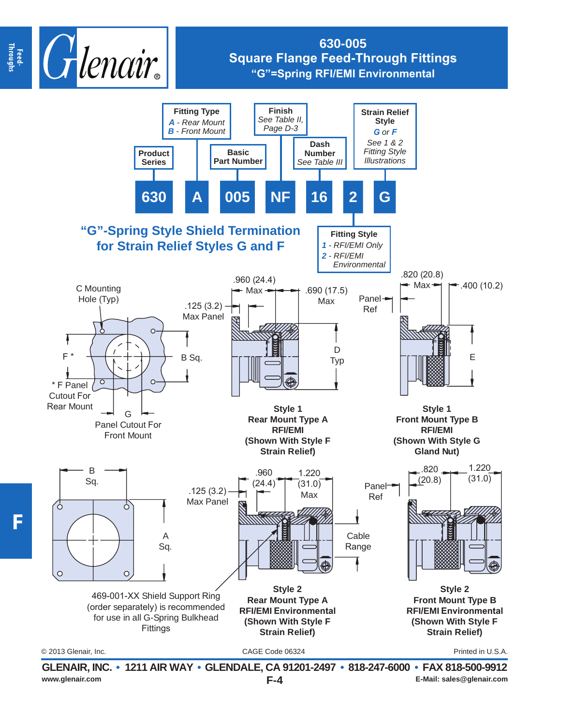

## **630-005 Square Flange Feed-Through Fittings "G"=Spring RFI/EMI Environmental**